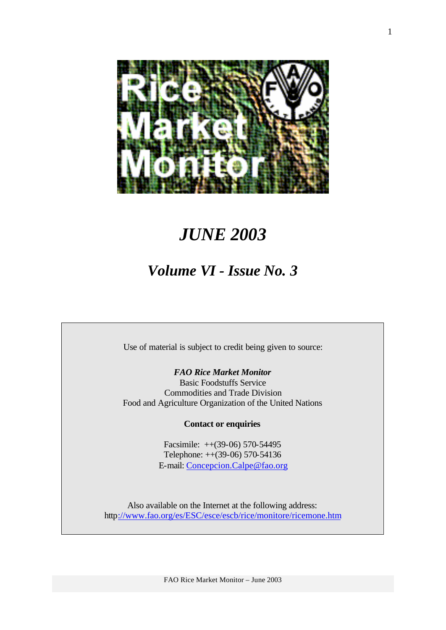

# *JUNE 2003*

# *Volume VI - Issue No. 3*

Use of material is subject to credit being given to source:

*FAO Rice Market Monitor*

Basic Foodstuffs Service Commodities and Trade Division Food and Agriculture Organization of the United Nations

**Contact or enquiries**

Facsimile: ++(39-06) 570-54495 Telephone: ++(39-06) 570-54136 E-mail: Concepcion.Calpe@fao.org

Also available on the Internet at the following address: http://www.fao.org/es/ESC/esce/escb/rice/monitore/ricemone.htm

FAO Rice Market Monitor – June 2003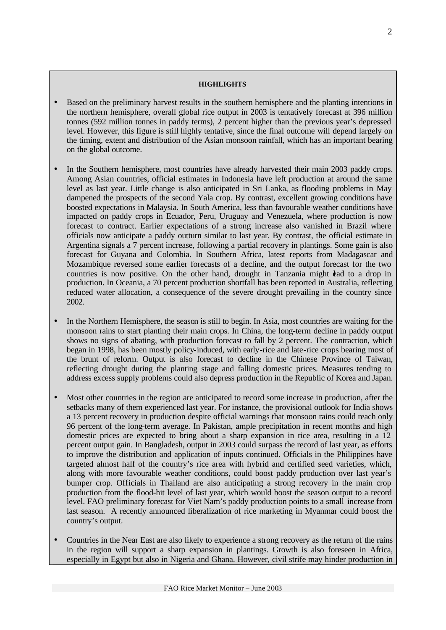#### **HIGHLIGHTS**

- Based on the preliminary harvest results in the southern hemisphere and the planting intentions in the northern hemisphere, overall global rice output in 2003 is tentatively forecast at 396 million tonnes (592 million tonnes in paddy terms), 2 percent higher than the previous year's depressed level. However, this figure is still highly tentative, since the final outcome will depend largely on the timing, extent and distribution of the Asian monsoon rainfall, which has an important bearing on the global outcome.
- In the Southern hemisphere, most countries have already harvested their main 2003 paddy crops. Among Asian countries, official estimates in Indonesia have left production at around the same level as last year. Little change is also anticipated in Sri Lanka, as flooding problems in May dampened the prospects of the second Yala crop. By contrast, excellent growing conditions have boosted expectations in Malaysia. In South America, less than favourable weather conditions have impacted on paddy crops in Ecuador, Peru, Uruguay and Venezuela, where production is now forecast to contract. Earlier expectations of a strong increase also vanished in Brazil where officials now anticipate a paddy outturn similar to last year. By contrast, the official estimate in Argentina signals a 7 percent increase, following a partial recovery in plantings. Some gain is also forecast for Guyana and Colombia. In Southern Africa, latest reports from Madagascar and Mozambique reversed some earlier forecasts of a decline, and the output forecast for the two countries is now positive. On the other hand, drought in Tanzania might lead to a drop in production. In Oceania, a 70 percent production shortfall has been reported in Australia, reflecting reduced water allocation, a consequence of the severe drought prevailing in the country since 2002.
- In the Northern Hemisphere, the season is still to begin. In Asia, most countries are waiting for the monsoon rains to start planting their main crops. In China, the long-term decline in paddy output shows no signs of abating, with production forecast to fall by 2 percent. The contraction, which began in 1998, has been mostly policy-induced, with early-rice and late-rice crops bearing most of the brunt of reform. Output is also forecast to decline in the Chinese Province of Taiwan, reflecting drought during the planting stage and falling domestic prices. Measures tending to address excess supply problems could also depress production in the Republic of Korea and Japan.
- Most other countries in the region are anticipated to record some increase in production, after the setbacks many of them experienced last year. For instance, the provisional outlook for India shows a 13 percent recovery in production despite official warnings that monsoon rains could reach only 96 percent of the long-term average. In Pakistan, ample precipitation in recent months and high domestic prices are expected to bring about a sharp expansion in rice area, resulting in a 12 percent output gain. In Bangladesh, output in 2003 could surpass the record of last year, as efforts to improve the distribution and application of inputs continued. Officials in the Philippines have targeted almost half of the country's rice area with hybrid and certified seed varieties, which, along with more favourable weather conditions, could boost paddy production over last year's bumper crop. Officials in Thailand are also anticipating a strong recovery in the main crop production from the flood-hit level of last year, which would boost the season output to a record level. FAO preliminary forecast for Viet Nam's paddy production points to a small increase from last season. A recently announced liberalization of rice marketing in Myanmar could boost the country's output.
- Countries in the Near East are also likely to experience a strong recovery as the return of the rains in the region will support a sharp expansion in plantings. Growth is also foreseen in Africa, especially in Egypt but also in Nigeria and Ghana. However, civil strife may hinder production in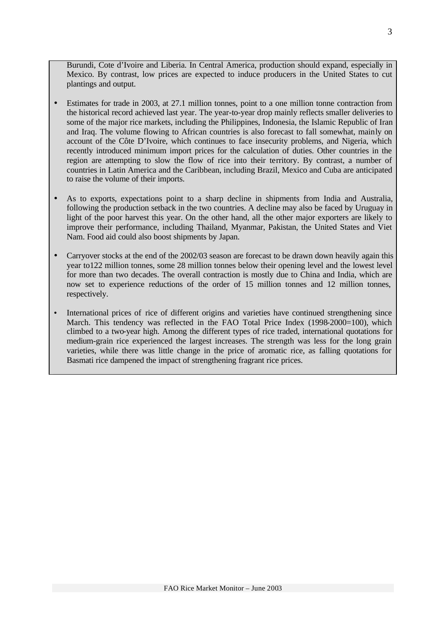Burundi, Cote d'Ivoire and Liberia. In Central America, production should expand, especially in Mexico. By contrast, low prices are expected to induce producers in the United States to cut plantings and output.

- Estimates for trade in 2003, at 27.1 million tonnes, point to a one million tonne contraction from the historical record achieved last year. The year-to-year drop mainly reflects smaller deliveries to some of the major rice markets, including the Philippines, Indonesia, the Islamic Republic of Iran and Iraq. The volume flowing to African countries is also forecast to fall somewhat, mainly on account of the Côte D'Ivoire, which continues to face insecurity problems, and Nigeria, which recently introduced minimum import prices for the calculation of duties. Other countries in the region are attempting to slow the flow of rice into their territory. By contrast, a number of countries in Latin America and the Caribbean, including Brazil, Mexico and Cuba are anticipated to raise the volume of their imports.
- As to exports, expectations point to a sharp decline in shipments from India and Australia, following the production setback in the two countries. A decline may also be faced by Uruguay in light of the poor harvest this year. On the other hand, all the other major exporters are likely to improve their performance, including Thailand, Myanmar, Pakistan, the United States and Viet Nam. Food aid could also boost shipments by Japan.
- Carryover stocks at the end of the 2002/03 season are forecast to be drawn down heavily again this year to122 million tonnes, some 28 million tonnes below their opening level and the lowest level for more than two decades. The overall contraction is mostly due to China and India, which are now set to experience reductions of the order of 15 million tonnes and 12 million tonnes, respectively.
- International prices of rice of different origins and varieties have continued strengthening since March. This tendency was reflected in the FAO Total Price Index (1998-2000=100), which climbed to a two-year high. Among the different types of rice traded, international quotations for medium-grain rice experienced the largest increases. The strength was less for the long grain varieties, while there was little change in the price of aromatic rice, as falling quotations for Basmati rice dampened the impact of strengthening fragrant rice prices.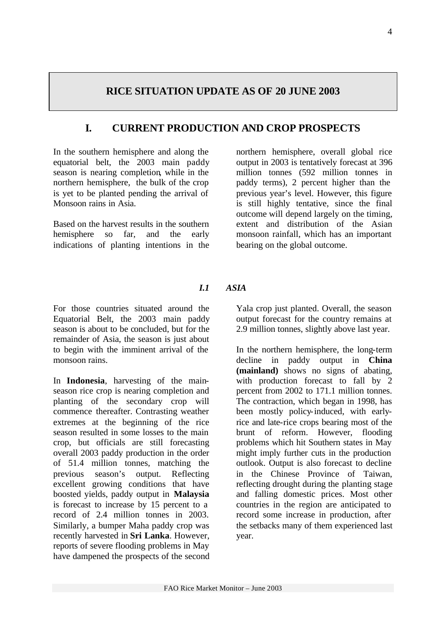# **RICE SITUATION UPDATE AS OF 20 JUNE 2003**

# **I. CURRENT PRODUCTION AND CROP PROSPECTS**

In the southern hemisphere and along the equatorial belt, the 2003 main paddy season is nearing completion, while in the northern hemisphere, the bulk of the crop is yet to be planted pending the arrival of Monsoon rains in Asia.

Based on the harvest results in the southern hemisphere so far, and the early indications of planting intentions in the northern hemisphere, overall global rice output in 2003 is tentatively forecast at 396 million tonnes (592 million tonnes in paddy terms), 2 percent higher than the previous year's level. However, this figure is still highly tentative, since the final outcome will depend largely on the timing, extent and distribution of the Asian monsoon rainfall, which has an important bearing on the global outcome.

### *I.1 ASIA*

For those countries situated around the Equatorial Belt, the 2003 main paddy season is about to be concluded, but for the remainder of Asia, the season is just about to begin with the imminent arrival of the monsoon rains.

In **Indonesia**, harvesting of the mainseason rice crop is nearing completion and planting of the secondary crop will commence thereafter. Contrasting weather extremes at the beginning of the rice season resulted in some losses to the main crop, but officials are still forecasting overall 2003 paddy production in the order of 51.4 million tonnes, matching the previous season's output. Reflecting excellent growing conditions that have boosted yields, paddy output in **Malaysia** is forecast to increase by 15 percent to a record of 2.4 million tonnes in 2003. Similarly, a bumper Maha paddy crop was recently harvested in **Sri Lanka**. However, reports of severe flooding problems in May have dampened the prospects of the second Yala crop just planted. Overall, the season output forecast for the country remains at 2.9 million tonnes, slightly above last year.

In the northern hemisphere, the long-term decline in paddy output in **China (mainland)** shows no signs of abating, with production forecast to fall by 2 percent from 2002 to 171.1 million tonnes. The contraction, which began in 1998, has been mostly policy-induced, with earlyrice and late-rice crops bearing most of the brunt of reform. However, flooding problems which hit Southern states in May might imply further cuts in the production outlook. Output is also forecast to decline in the Chinese Province of Taiwan, reflecting drought during the planting stage and falling domestic prices. Most other countries in the region are anticipated to record some increase in production, after the setbacks many of them experienced last year.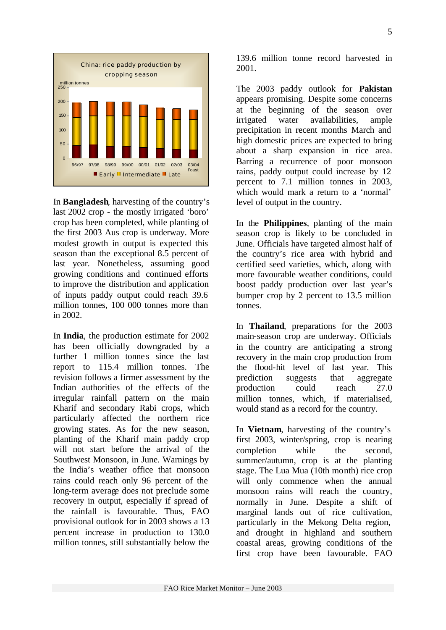

In **Bangladesh**, harvesting of the country's last 2002 crop - the mostly irrigated 'boro' crop has been completed, while planting of the first 2003 Aus crop is underway. More modest growth in output is expected this season than the exceptional 8.5 percent of last year. Nonetheless, assuming good growing conditions and continued efforts to improve the distribution and application of inputs paddy output could reach 39.6 million tonnes, 100 000 tonnes more than in 2002.

In **India**, the production estimate for 2002 has been officially downgraded by a further 1 million tonnes since the last report to 115.4 million tonnes. The revision follows a firmer assessment by the Indian authorities of the effects of the irregular rainfall pattern on the main Kharif and secondary Rabi crops, which particularly affected the northern rice growing states. As for the new season, planting of the Kharif main paddy crop will not start before the arrival of the Southwest Monsoon, in June. Warnings by the India's weather office that monsoon rains could reach only 96 percent of the long-term average does not preclude some recovery in output, especially if spread of the rainfall is favourable. Thus, FAO provisional outlook for in 2003 shows a 13 percent increase in production to 130.0 million tonnes, still substantially below the 139.6 million tonne record harvested in 2001.

The 2003 paddy outlook for **Pakistan** appears promising. Despite some concerns at the beginning of the season over irrigated water availabilities, ample precipitation in recent months March and high domestic prices are expected to bring about a sharp expansion in rice area. Barring a recurrence of poor monsoon rains, paddy output could increase by 12 percent to 7.1 million tonnes in 2003, which would mark a return to a 'normal' level of output in the country.

In the **Philippines**, planting of the main season crop is likely to be concluded in June. Officials have targeted almost half of the country's rice area with hybrid and certified seed varieties, which, along with more favourable weather conditions, could boost paddy production over last year's bumper crop by 2 percent to 13.5 million tonnes.

In **Thailand**, preparations for the 2003 main-season crop are underway. Officials in the country are anticipating a strong recovery in the main crop production from the flood-hit level of last year. This prediction suggests that aggregate production could reach 27.0 million tonnes, which, if materialised, would stand as a record for the country.

In **Vietnam**, harvesting of the country's first 2003, winter/spring, crop is nearing completion while the second, summer/autumn, crop is at the planting stage. The Lua Mua (10th month) rice crop will only commence when the annual monsoon rains will reach the country, normally in June. Despite a shift of marginal lands out of rice cultivation, particularly in the Mekong Delta region, and drought in highland and southern coastal areas, growing conditions of the first crop have been favourable. FAO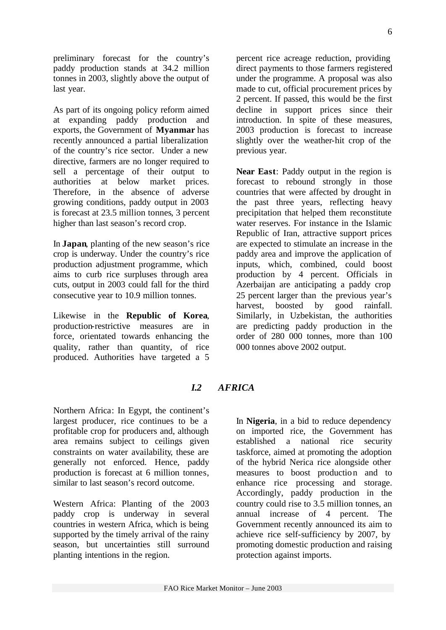preliminary forecast for the country's paddy production stands at 34.2 million tonnes in 2003, slightly above the output of last year.

As part of its ongoing policy reform aimed at expanding paddy production and exports, the Government of **Myanmar** has recently announced a partial liberalization of the country's rice sector. Under a new directive, farmers are no longer required to sell a percentage of their output to authorities at below market prices. Therefore, in the absence of adverse growing conditions, paddy output in 2003 is forecast at 23.5 million tonnes, 3 percent higher than last season's record crop.

In **Japan**, planting of the new season's rice crop is underway. Under the country's rice production adjustment programme, which aims to curb rice surpluses through area cuts, output in 2003 could fall for the third consecutive year to 10.9 million tonnes.

Likewise in the **Republic of Korea**, production-restrictive measures are in force, orientated towards enhancing the quality, rather than quantity, of rice produced. Authorities have targeted a 5 percent rice acreage reduction, providing direct payments to those farmers registered under the programme. A proposal was also made to cut, official procurement prices by 2 percent. If passed, this would be the first decline in support prices since their introduction. In spite of these measures, 2003 production is forecast to increase slightly over the weather-hit crop of the previous year.

**Near East**: Paddy output in the region is forecast to rebound strongly in those countries that were affected by drought in the past three years, reflecting heavy precipitation that helped them reconstitute water reserves. For instance in the Islamic Republic of Iran, attractive support prices are expected to stimulate an increase in the paddy area and improve the application of inputs, which, combined, could boost production by 4 percent. Officials in Azerbaijan are anticipating a paddy crop 25 percent larger than the previous year's harvest, boosted by good rainfall. Similarly, in Uzbekistan, the authorities are predicting paddy production in the order of 280 000 tonnes, more than 100 000 tonnes above 2002 output.

### *I.2 AFRICA*

Northern Africa: In Egypt, the continent's largest producer, rice continues to be a profitable crop for producers and, although area remains subject to ceilings given constraints on water availability, these are generally not enforced. Hence, paddy production is forecast at 6 million tonnes, similar to last season's record outcome.

Western Africa: Planting of the 2003 paddy crop is underway in several countries in western Africa, which is being supported by the timely arrival of the rainy season, but uncertainties still surround planting intentions in the region.

In **Nigeria**, in a bid to reduce dependency on imported rice, the Government has established a national rice security taskforce, aimed at promoting the adoption of the hybrid Nerica rice alongside other measures to boost production and to enhance rice processing and storage. Accordingly, paddy production in the country could rise to 3.5 million tonnes, an annual increase of 4 percent. The Government recently announced its aim to achieve rice self-sufficiency by 2007, by promoting domestic production and raising protection against imports.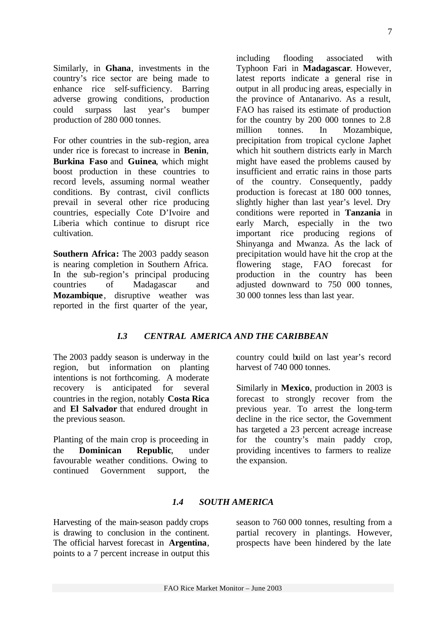7

Similarly, in **Ghana**, investments in the country's rice sector are being made to enhance rice self-sufficiency. Barring adverse growing conditions, production could surpass last year's bumper production of 280 000 tonnes.

For other countries in the sub-region, area under rice is forecast to increase in **Benin**, **Burkina Faso** and **Guinea**, which might boost production in these countries to record levels, assuming normal weather conditions. By contrast, civil conflicts prevail in several other rice producing countries, especially Cote D'Ivoire and Liberia which continue to disrupt rice cultivation.

**Southern Africa:** The 2003 paddy season is nearing completion in Southern Africa. In the sub-region's principal producing countries of Madagascar and **Mozambique**, disruptive weather was reported in the first quarter of the year,

including flooding associated with Typhoon Fari in **Madagascar**. However, latest reports indicate a general rise in output in all produc ing areas, especially in the province of Antanarivo. As a result, FAO has raised its estimate of production for the country by 200 000 tonnes to 2.8 million tonnes. In Mozambique, precipitation from tropical cyclone Japhet which hit southern districts early in March might have eased the problems caused by insufficient and erratic rains in those parts of the country. Consequently, paddy production is forecast at 180 000 tonnes, slightly higher than last year's level. Dry conditions were reported in **Tanzania** in early March, especially in the two important rice producing regions of Shinyanga and Mwanza. As the lack of precipitation would have hit the crop at the flowering stage, FAO forecast for production in the country has been adjusted downward to 750 000 tonnes, 30 000 tonnes less than last year.

### *I.3 CENTRAL AMERICA AND THE CARIBBEAN*

The 2003 paddy season is underway in the region, but information on planting intentions is not forthcoming. A moderate recovery is anticipated for several countries in the region, notably **Costa Rica** and **El Salvador** that endured drought in the previous season.

Planting of the main crop is proceeding in the **Dominican Republic**, under favourable weather conditions. Owing to continued Government support, the country could build on last year's record harvest of 740 000 tonnes.

Similarly in **Mexico**, production in 2003 is forecast to strongly recover from the previous year. To arrest the long-term decline in the rice sector, the Government has targeted a 23 percent acreage increase for the country's main paddy crop, providing incentives to farmers to realize the expansion.

### *1.4 SOUTH AMERICA*

Harvesting of the main-season paddy crops is drawing to conclusion in the continent. The official harvest forecast in **Argentina**, points to a 7 percent increase in output this season to 760 000 tonnes, resulting from a partial recovery in plantings. However, prospects have been hindered by the late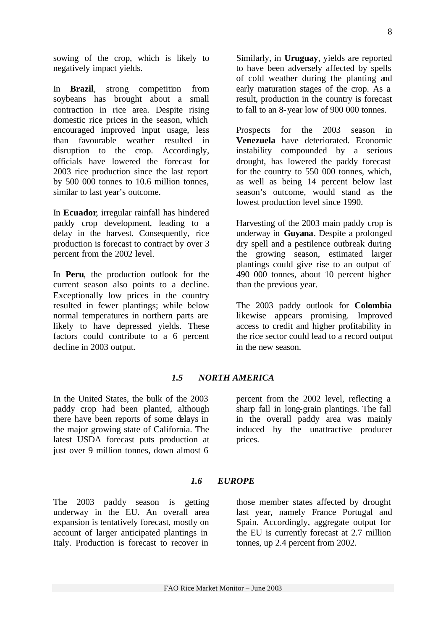sowing of the crop, which is likely to negatively impact yields.

In **Brazil**, strong competition from soybeans has brought about a small contraction in rice area. Despite rising domestic rice prices in the season, which encouraged improved input usage, less than favourable weather resulted in disruption to the crop. Accordingly, officials have lowered the forecast for 2003 rice production since the last report by 500 000 tonnes to 10.6 million tonnes, similar to last year's outcome.

In **Ecuador**, irregular rainfall has hindered paddy crop development, leading to a delay in the harvest. Consequently, rice production is forecast to contract by over 3 percent from the 2002 level.

In **Peru**, the production outlook for the current season also points to a decline. Exceptionally low prices in the country resulted in fewer plantings; while below normal temperatures in northern parts are likely to have depressed yields. These factors could contribute to a 6 percent decline in 2003 output.

Similarly, in **Uruguay**, yields are reported to have been adversely affected by spells of cold weather during the planting and early maturation stages of the crop. As a result, production in the country is forecast to fall to an 8-year low of 900 000 tonnes.

Prospects for the 2003 season in **Venezuela** have deteriorated. Economic instability compounded by a serious drought, has lowered the paddy forecast for the country to 550 000 tonnes, which, as well as being 14 percent below last season's outcome, would stand as the lowest production level since 1990.

Harvesting of the 2003 main paddy crop is underway in **Guyana**. Despite a prolonged dry spell and a pestilence outbreak during the growing season, estimated larger plantings could give rise to an output of 490 000 tonnes, about 10 percent higher than the previous year.

The 2003 paddy outlook for **Colombia** likewise appears promising. Improved access to credit and higher profitability in the rice sector could lead to a record output in the new season.

#### *1.5 NORTH AMERICA*

In the United States, the bulk of the 2003 paddy crop had been planted, although there have been reports of some delays in the major growing state of California. The latest USDA forecast puts production at just over 9 million tonnes, down almost 6 percent from the 2002 level, reflecting a sharp fall in long-grain plantings. The fall in the overall paddy area was mainly induced by the unattractive producer prices.

#### *1.6 EUROPE*

The 2003 paddy season is getting underway in the EU. An overall area expansion is tentatively forecast, mostly on account of larger anticipated plantings in Italy. Production is forecast to recover in

those member states affected by drought last year, namely France Portugal and Spain. Accordingly, aggregate output for the EU is currently forecast at 2.7 million tonnes, up 2.4 percent from 2002.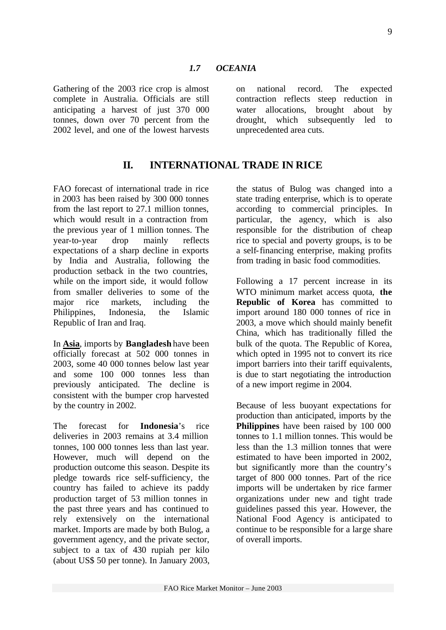Gathering of the 2003 rice crop is almost complete in Australia. Officials are still anticipating a harvest of just 370 000 tonnes, down over 70 percent from the 2002 level, and one of the lowest harvests

on national record. The expected contraction reflects steep reduction in water allocations, brought about by drought, which subsequently led to unprecedented area cuts.

# **II. INTERNATIONAL TRADE IN RICE**

FAO forecast of international trade in rice in 2003 has been raised by 300 000 tonnes from the last report to 27.1 million tonnes, which would result in a contraction from the previous year of 1 million tonnes. The year-to-year drop mainly reflects expectations of a sharp decline in exports by India and Australia, following the production setback in the two countries, while on the import side, it would follow from smaller deliveries to some of the major rice markets, including the Philippines, Indonesia, the Islamic Republic of Iran and Iraq.

In **Asia**, imports by **Bangladesh** have been officially forecast at 502 000 tonnes in 2003, some 40 000 tonnes below last year and some 100 000 tonnes less than previously anticipated. The decline is consistent with the bumper crop harvested by the country in 2002.

The forecast for **Indonesia**'s rice deliveries in 2003 remains at 3.4 million tonnes, 100 000 tonnes less than last year. However, much will depend on the production outcome this season. Despite its pledge towards rice self-sufficiency, the country has failed to achieve its paddy production target of 53 million tonnes in the past three years and has continued to rely extensively on the international market. Imports are made by both Bulog, a government agency, and the private sector, subject to a tax of 430 rupiah per kilo (about US\$ 50 per tonne). In January 2003,

the status of Bulog was changed into a state trading enterprise, which is to operate according to commercial principles. In particular, the agency, which is also responsible for the distribution of cheap rice to special and poverty groups, is to be a self-financing enterprise, making profits from trading in basic food commodities.

Following a 17 percent increase in its WTO minimum market access quota, **the Republic of Korea** has committed to import around 180 000 tonnes of rice in 2003, a move which should mainly benefit China, which has traditionally filled the bulk of the quota. The Republic of Korea, which opted in 1995 not to convert its rice import barriers into their tariff equivalents, is due to start negotiating the introduction of a new import regime in 2004.

Because of less buoyant expectations for production than anticipated, imports by the **Philippines** have been raised by 100 000 tonnes to 1.1 million tonnes. This would be less than the 1.3 million tonnes that were estimated to have been imported in 2002, but significantly more than the country's target of 800 000 tonnes. Part of the rice imports will be undertaken by rice farmer organizations under new and tight trade guidelines passed this year. However, the National Food Agency is anticipated to continue to be responsible for a large share of overall imports.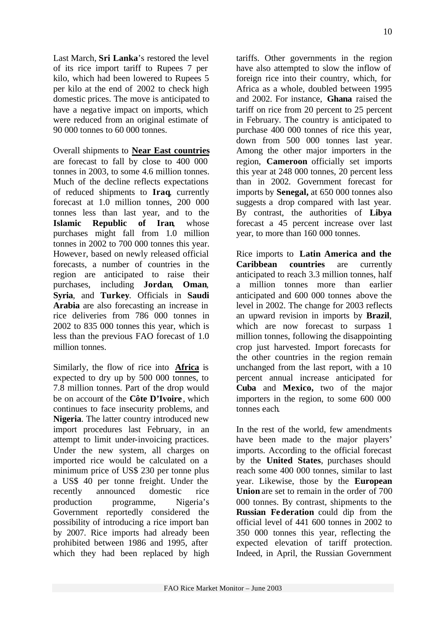Last March, **Sri Lanka**'s restored the level of its rice import tariff to Rupees 7 per kilo, which had been lowered to Rupees 5 per kilo at the end of 2002 to check high domestic prices. The move is anticipated to have a negative impact on imports, which were reduced from an original estimate of 90 000 tonnes to 60 000 tonnes.

Overall shipments to **Near East countries** are forecast to fall by close to 400 000 tonnes in 2003, to some 4.6 million tonnes. Much of the decline reflects expectations of reduced shipments to **Iraq**, currently forecast at 1.0 million tonnes, 200 000 tonnes less than last year, and to the **Islamic Republic of Iran**, whose purchases might fall from 1.0 million tonnes in 2002 to 700 000 tonnes this year. However, based on newly released official forecasts, a number of countries in the region are anticipated to raise their purchases, including **Jordan**, **Oman**, **Syria**, and **Turkey**. Officials in **Saudi Arabia** are also forecasting an increase in rice deliveries from 786 000 tonnes in 2002 to 835 000 tonnes this year, which is less than the previous FAO forecast of 1.0 million tonnes.

Similarly, the flow of rice into **Africa** is expected to dry up by 500 000 tonnes, to 7.8 million tonnes. Part of the drop would be on account of the **Côte D'Ivoire** , which continues to face insecurity problems, and **Nigeria**. The latter country introduced new import procedures last February, in an attempt to limit under-invoicing practices. Under the new system, all charges on imported rice would be calculated on a minimum price of US\$ 230 per tonne plus a US\$ 40 per tonne freight. Under the recently announced domestic rice production programme, Nigeria's Government reportedly considered the possibility of introducing a rice import ban by 2007. Rice imports had already been prohibited between 1986 and 1995, after which they had been replaced by high tariffs. Other governments in the region have also attempted to slow the inflow of foreign rice into their country, which, for Africa as a whole, doubled between 1995 and 2002. For instance, **Ghana** raised the tariff on rice from 20 percent to 25 percent in February. The country is anticipated to purchase 400 000 tonnes of rice this year, down from 500 000 tonnes last year. Among the other major importers in the region, **Cameroon** officially set imports this year at 248 000 tonnes, 20 percent less than in 2002. Government forecast for imports by **Senegal,** at 650 000 tonnes also suggests a drop compared with last year. By contrast, the authorities of **Libya** forecast a 45 percent increase over last year, to more than 160 000 tonnes.

Rice imports to **Latin America and the Caribbean countries** are currently anticipated to reach 3.3 million tonnes, half a million tonnes more than earlier anticipated and 600 000 tonnes above the level in 2002. The change for 2003 reflects an upward revision in imports by **Brazil**, which are now forecast to surpass 1 million tonnes, following the disappointing crop just harvested. Import forecasts for the other countries in the region remain unchanged from the last report, with a 10 percent annual increase anticipated for **Cuba** and **Mexico,** two of the major importers in the region, to some 600 000 tonnes each.

In the rest of the world, few amendments have been made to the major players' imports. According to the official forecast by the **United States**, purchases should reach some 400 000 tonnes, similar to last year. Likewise, those by the **European Union** are set to remain in the order of 700 000 tonnes. By contrast, shipments to the **Russian Federation** could dip from the official level of 441 600 tonnes in 2002 to 350 000 tonnes this year, reflecting the expected elevation of tariff protection. Indeed, in April, the Russian Government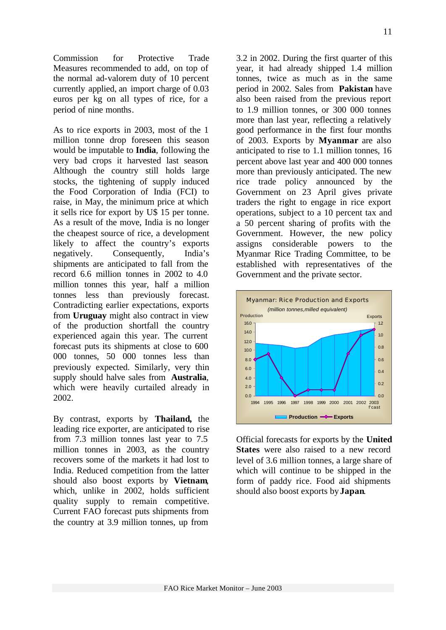Commission for Protective Trade Measures recommended to add, on top of the normal ad-valorem duty of 10 percent currently applied, an import charge of 0.03 euros per kg on all types of rice, for a period of nine months.

As to rice exports in 2003, most of the 1 million tonne drop foreseen this season would be imputable to **India**, following the very bad crops it harvested last season. Although the country still holds large stocks, the tightening of supply induced the Food Corporation of India (FCI) to raise, in May, the minimum price at which it sells rice for export by U\$ 15 per tonne. As a result of the move, India is no longer the cheapest source of rice, a development likely to affect the country's exports negatively. Consequently, India's shipments are anticipated to fall from the record 6.6 million tonnes in 2002 to 4.0 million tonnes this year, half a million tonnes less than previously forecast. Contradicting earlier expectations, exports from **Uruguay** might also contract in view of the production shortfall the country experienced again this year. The current forecast puts its shipments at close to 600 000 tonnes, 50 000 tonnes less than previously expected. Similarly, very thin supply should halve sales from **Australia**, which were heavily curtailed already in 2002.

By contrast, exports by **Thailand,** the leading rice exporter, are anticipated to rise from 7.3 million tonnes last year to 7.5 million tonnes in 2003, as the country recovers some of the markets it had lost to India. Reduced competition from the latter should also boost exports by **Vietnam**, which, unlike in 2002, holds sufficient quality supply to remain competitive. Current FAO forecast puts shipments from the country at 3.9 million tonnes, up from

3.2 in 2002. During the first quarter of this year, it had already shipped 1.4 million tonnes, twice as much as in the same period in 2002. Sales from **Pakistan** have also been raised from the previous report to 1.9 million tonnes, or 300 000 tonnes more than last year, reflecting a relatively good performance in the first four months of 2003. Exports by **Myanmar** are also anticipated to rise to 1.1 million tonnes, 16 percent above last year and 400 000 tonnes more than previously anticipated. The new rice trade policy announced by the Government on 23 April gives private traders the right to engage in rice export operations, subject to a 10 percent tax and a 50 percent sharing of profits with the Government. However, the new policy assigns considerable powers to the Myanmar Rice Trading Committee, to be established with representatives of the Government and the private sector.



Official forecasts for exports by the **United States** were also raised to a new record level of 3.6 million tonnes, a large share of which will continue to be shipped in the form of paddy rice. Food aid shipments should also boost exports by **Japan**.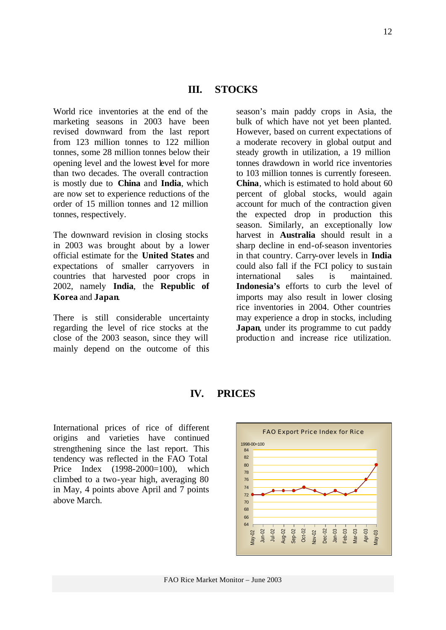World rice inventories at the end of the marketing seasons in 2003 have been revised downward from the last report from 123 million tonnes to 122 million tonnes, some 28 million tonnes below their opening level and the lowest level for more than two decades. The overall contraction is mostly due to **China** and **India**, which are now set to experience reductions of the order of 15 million tonnes and 12 million tonnes, respectively.

The downward revision in closing stocks in 2003 was brought about by a lower official estimate for the **United States** and expectations of smaller carryovers in countries that harvested poor crops in 2002, namely **India**, the **Republic of Korea** and **Japan**.

There is still considerable uncertainty regarding the level of rice stocks at the close of the 2003 season, since they will mainly depend on the outcome of this season's main paddy crops in Asia, the bulk of which have not yet been planted. However, based on current expectations of a moderate recovery in global output and steady growth in utilization, a 19 million tonnes drawdown in world rice inventories to 103 million tonnes is currently foreseen. **China**, which is estimated to hold about 60 percent of global stocks, would again account for much of the contraction given the expected drop in production this season. Similarly, an exceptionally low harvest in **Australia** should result in a sharp decline in end-of-season inventories in that country. Carry-over levels in **India** could also fall if the FCI policy to sustain international sales is maintained. **Indonesia's** efforts to curb the level of imports may also result in lower closing rice inventories in 2004. Other countries may experience a drop in stocks, including **Japan**, under its programme to cut paddy production and increase rice utilization.

# **IV. PRICES**

International prices of rice of different origins and varieties have continued strengthening since the last report. This tendency was reflected in the FAO Total Price Index (1998-2000=100), which climbed to a two-year high, averaging 80 in May, 4 points above April and 7 points above March.

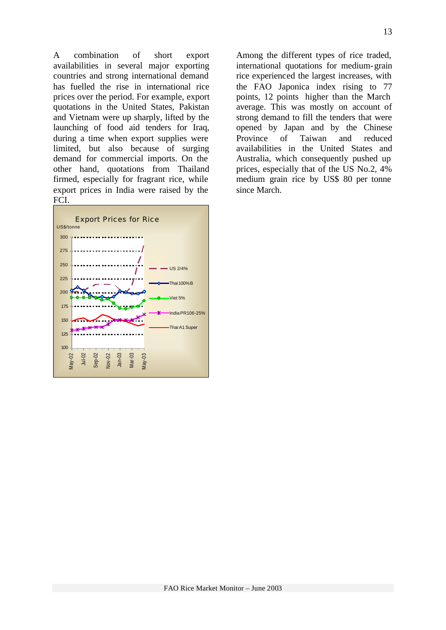A combination of short export availabilities in several major exporting countries and strong international demand has fuelled the rise in international rice prices over the period. For example, export quotations in the United States, Pakistan and Vietnam were up sharply, lifted by the launching of food aid tenders for Iraq, during a time when export supplies were limited, but also because of surging demand for commercial imports. On the other hand, quotations from Thailand firmed, especially for fragrant rice, while export prices in India were raised by the FCI.



Among the different types of rice traded, international quotations for medium-grain rice experienced the largest increases, with the FAO Japonica index rising to 77 points, 12 points higher than the March average. This was mostly on account of strong demand to fill the tenders that were opened by Japan and by the Chinese Province of Taiwan and reduced availabilities in the United States and Australia, which consequently pushed up prices, especially that of the US No.2, 4% medium grain rice by US\$ 80 per tonne since March.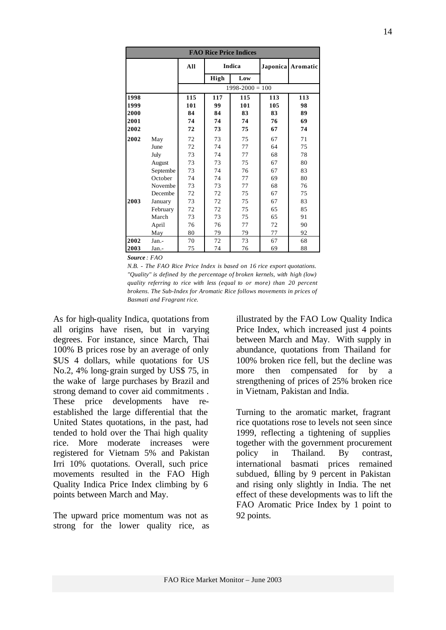| <b>FAO Rice Price Indices</b> |          |     |      |                     |                 |          |  |  |
|-------------------------------|----------|-----|------|---------------------|-----------------|----------|--|--|
|                               |          | All |      | <b>Indica</b>       | <b>Japonica</b> | Aromatic |  |  |
|                               |          |     | High | Low                 |                 |          |  |  |
|                               |          |     |      | $1998 - 2000 = 100$ |                 |          |  |  |
| 1998                          |          | 115 | 117  | 115                 | 113             | 113      |  |  |
| 1999                          |          | 101 | 99   | 101                 | 105             | 98       |  |  |
| 2000                          |          | 84  | 84   | 83                  | 83              | 89       |  |  |
| 2001                          |          | 74  | 74   | 74                  | 76              | 69       |  |  |
| 2002                          |          | 72  | 73   | 75                  | 67              | 74       |  |  |
| 2002                          | May      | 72  | 73   | 75                  | 67              | 71       |  |  |
|                               | June     | 72  | 74   | 77                  | 64              | 75       |  |  |
|                               | July     | 73  | 74   | 77                  | 68              | 78       |  |  |
|                               | August   | 73  | 73   | 75                  | 67              | 80       |  |  |
|                               | Septembe | 73  | 74   | 76                  | 67              | 83       |  |  |
|                               | October  | 74  | 74   | 77                  | 69              | 80       |  |  |
|                               | Novembe  | 73  | 73   | 77                  | 68              | 76       |  |  |
|                               | Decembe  | 72  | 72   | 75                  | 67              | 75       |  |  |
| 2003                          | January  | 73  | 72   | 75                  | 67              | 83       |  |  |
|                               | February | 72  | 72   | 75                  | 65              | 85       |  |  |
|                               | March    | 73  | 73   | 75                  | 65              | 91       |  |  |
|                               | April    | 76  | 76   | 77                  | 72              | 90       |  |  |
|                               | May      | 80  | 79   | 79                  | 77              | 92       |  |  |
| 2002                          | $Jan. -$ | 70  | 72   | 73                  | 67              | 68       |  |  |
| 2003                          | Jan.-    | 75  | 74   | 76                  | 69              | 88       |  |  |

*Source : FAO* 

*N.B. - The FAO Rice Price Index is based on 16 rice export quotations. "Quality" is defined by the percentage of broken kernels, with high (low) quality referring to rice with less (equal to or more) than 20 percent brokens. The Sub-Index for Aromatic Rice follows movements in prices of Basmati and Fragrant rice.*

As for high-quality Indica, quotations from all origins have risen, but in varying degrees. For instance, since March, Thai 100% B prices rose by an average of only \$US 4 dollars, while quotations for US No.2, 4% long-grain surged by US\$ 75, in the wake of large purchases by Brazil and strong demand to cover aid commitments . These price developments have reestablished the large differential that the United States quotations, in the past, had tended to hold over the Thai high quality rice. More moderate increases were registered for Vietnam 5% and Pakistan Irri 10% quotations. Overall, such price movements resulted in the FAO High Quality Indica Price Index climbing by 6 points between March and May.

The upward price momentum was not as strong for the lower quality rice, as illustrated by the FAO Low Quality Indica Price Index, which increased just 4 points between March and May. With supply in abundance, quotations from Thailand for 100% broken rice fell, but the decline was more then compensated for by a strengthening of prices of 25% broken rice in Vietnam, Pakistan and India.

Turning to the aromatic market, fragrant rice quotations rose to levels not seen since 1999, reflecting a tightening of supplies together with the government procurement policy in Thailand. By contrast, international basmati prices remained subdued, falling by 9 percent in Pakistan and rising only slightly in India. The net effect of these developments was to lift the FAO Aromatic Price Index by 1 point to 92 points.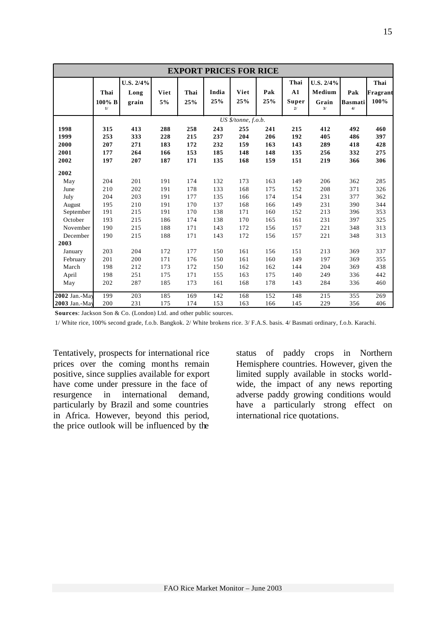|               | <b>EXPORT PRICES FOR RICE</b> |                            |            |             |              |                     |            |                           |                                    |                             |                          |
|---------------|-------------------------------|----------------------------|------------|-------------|--------------|---------------------|------------|---------------------------|------------------------------------|-----------------------------|--------------------------|
|               | Thai<br>100% B<br>1/          | U.S. 2/4%<br>Long<br>grain | Viet<br>5% | Thai<br>25% | India<br>25% | Viet<br>25%         | Pak<br>25% | Thai<br>A1<br>Super<br>21 | U.S. 2/4%<br>Medium<br>Grain<br>3/ | Pak<br><b>Basmati</b><br>4/ | Thai<br>Fragrant<br>100% |
|               |                               |                            |            |             |              | US \$/tonne, f.o.b. |            |                           |                                    |                             |                          |
| 1998          | 315                           | 413                        | 288        | 258         | 243          | 255                 | 241        | 215                       | 412                                | 492                         | 460                      |
| 1999          | 253                           | 333                        | 228        | 215         | 237          | 204                 | 206        | 192                       | 405                                | 486                         | 397                      |
| 2000          | 207                           | 271                        | 183        | 172         | 232          | 159                 | 163        | 143                       | 289                                | 418                         | 428                      |
| 2001          | 177                           | 264                        | 166        | 153         | 185          | 148                 | 148        | 135                       | 256                                | 332                         | 275                      |
| 2002          | 197                           | 207                        | 187        | 171         | 135          | 168                 | 159        | 151                       | 219                                | 366                         | 306                      |
| 2002          |                               |                            |            |             |              |                     |            |                           |                                    |                             |                          |
| May           | 204                           | 201                        | 191        | 174         | 132          | 173                 | 163        | 149                       | 206                                | 362                         | 285                      |
| June          | 210                           | 202                        | 191        | 178         | 133          | 168                 | 175        | 152                       | 208                                | 371                         | 326                      |
| July          | 204                           | 203                        | 191        | 177         | 135          | 166                 | 174        | 154                       | 231                                | 377                         | 362                      |
| August        | 195                           | 210                        | 191        | 170         | 137          | 168                 | 166        | 149                       | 231                                | 390                         | 344                      |
| September     | 191                           | 215                        | 191        | 170         | 138          | 171                 | 160        | 152                       | 213                                | 396                         | 353                      |
| October       | 193                           | 215                        | 186        | 174         | 138          | 170                 | 165        | 161                       | 231                                | 397                         | 325                      |
| November      | 190                           | 215                        | 188        | 171         | 143          | 172                 | 156        | 157                       | 221                                | 348                         | 313                      |
| December      | 190                           | 215                        | 188        | 171         | 143          | 172                 | 156        | 157                       | 221                                | 348                         | 313                      |
| 2003          |                               |                            |            |             |              |                     |            |                           |                                    |                             |                          |
| January       | 203                           | 204                        | 172        | 177         | 150          | 161                 | 156        | 151                       | 213                                | 369                         | 337                      |
| February      | 201                           | 200                        | 171        | 176         | 150          | 161                 | 160        | 149                       | 197                                | 369                         | 355                      |
| March         | 198                           | 212                        | 173        | 172         | 150          | 162                 | 162        | 144                       | 204                                | 369                         | 438                      |
| April         | 198                           | 251                        | 175        | 171         | 155          | 163                 | 175        | 140                       | 249                                | 336                         | 442                      |
| May           | 202                           | 287                        | 185        | 173         | 161          | 168                 | 178        | 143                       | 284                                | 336                         | 460                      |
| 2002 Jan.-May | 199                           | 203                        | 185        | 169         | 142          | 168                 | 152        | 148                       | 215                                | 355                         | 269                      |
| 2003 Jan.-May | 200                           | 231                        | 175        | 174         | 153          | 163                 | 166        | 145                       | 229                                | 356                         | 406                      |

**Sources**: Jackson Son & Co. (London) Ltd. and other public sources.

1/ White rice, 100% second grade, f.o.b. Bangkok. 2/ White brokens rice. 3/ F.A.S. basis. 4/ Basmati ordinary, f.o.b. Karachi.

Tentatively, prospects for international rice prices over the coming months remain positive, since supplies available for export have come under pressure in the face of resurgence in international demand, particularly by Brazil and some countries in Africa. However, beyond this period, the price outlook will be influenced by the

status of paddy crops in Northern Hemisphere countries. However, given the limited supply available in stocks worldwide, the impact of any news reporting adverse paddy growing conditions would have a particularly strong effect on international rice quotations.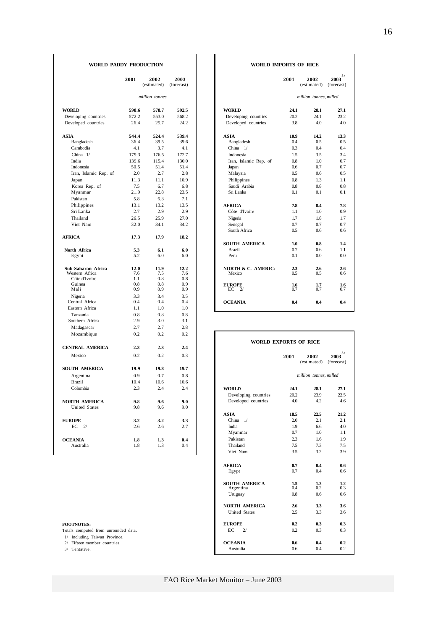| 2001<br>2001<br>2002<br>2002<br>2003<br>(estimated)<br>(forecast)<br>(estimated)<br>million tonnes<br>million tonnes, milled<br><b>WORLD</b><br>598.6<br>578.7<br>592.5<br><b>WORLD</b><br>24.1<br>28.1<br>572.2<br>553.0<br>568.2<br>20.2<br>Developing countries<br>Developing countries<br>24.1<br>Developed countries<br>26.4<br>25.7<br>24.2<br>Developed countries<br>3.8<br>4.0<br><b>ASIA</b><br>544.4<br>524.4<br>539.4<br><b>ASIA</b><br>10.9<br>14.2<br>Bangladesh<br>36.4<br>39.5<br>39.6<br>Bangladesh<br>0.4<br>0.5<br>Cambodia<br>4.1<br>3.7<br>4.1<br>China 1/<br>0.4<br>0.3<br>$China$ $1/$<br>179.3<br>176.5<br>172.7<br>Indonesia<br>3.5<br>1.5<br>India<br>139.6<br>130.0<br>115.4<br>Iran, Islamic Rep. of<br>0.8<br>1.0<br>50.5<br>51.4<br>51.4<br>0.6<br>Indonesia<br>Japan<br>0.7<br>2.8<br>Iran, Islamic Rep. of<br>2.0<br>2.7<br>Malaysia<br>0.5<br>0.6<br>10.9<br>0.8<br>Japan<br>11.3<br>11.1<br>Philippines<br>1.3<br>Korea Rep. of<br>7.5<br>6.7<br>6.8<br>0.8<br>0.8<br>Saudi Arabia<br>21.9<br>22.8<br>23.5<br>Myanmar<br>Sri Lanka<br>0.1<br>0.1<br>Pakistan<br>5.8<br>6.3<br>7.1<br>Philippines<br>13.2<br>13.5<br>13.1<br><b>AFRICA</b><br>7.8<br>8.4<br>Sri Lanka<br>2.7<br>2.9<br>2.9<br>Côte d'Ivoire<br>1.1<br>1.0<br>Thailand<br>26.5<br>25.9<br>27.0<br>Nigeria<br>1.7<br>1.8<br>Viet Nam<br>32.0<br>34.1<br>34.2<br>Senegal<br>0.7<br>0.7<br>South Africa<br>0.5<br>0.6<br><b>AFRICA</b><br>17.9<br>18.2<br>17.3<br><b>SOUTH AMERICA</b><br>1.0<br>0.8<br>0.7<br><b>Brazil</b><br>0.6<br>North Africa<br>5.3<br>6.1<br>6.0<br>5.2<br>6.0<br>Egypt<br>6.0<br>Peru<br>0.1<br>0.0<br><b>NORTH &amp; C. AMERIC.</b><br>Sub-Saharan Africa<br>11.9<br>12.2<br>12.0<br>2.3<br>2.6<br>Western Africa<br>7.6<br>7.5<br>7.6<br>0.5<br>Mexico<br>0.5<br>Côte d'Ivoire<br>1.1<br>0.8<br>0.8<br>Guinea<br>0.8<br>0.8<br>0.9<br><b>EUROPE</b><br>1.7<br>1.6<br>Mali<br>0.9<br>0.9<br>0.9<br>$EC$ 2/<br>0.7<br>0.7<br>3.3<br>3.4<br>3.5<br>Nigeria<br>Central Africa<br>0.4<br>0.4<br>0.4<br><b>OCEANIA</b><br>0.4<br>0.4<br>Eastern Africa<br>1.1<br>1.0<br>1.0<br>0.8<br>0.8<br>0.8<br>Tanzania<br>Southern Africa<br>2.9<br>3.0<br>3.1<br>2.7<br>2.7<br>2.8<br>Madagascar<br>0.2<br>0.2<br>0.2<br>Mozambique<br><b>WORLD EXPORTS OF RICE</b><br><b>CENTRAL AMERICA</b><br>2.3<br>2.3<br>2.4<br>0.2<br>0.2<br>0.3<br>Mexico<br>2001<br>2002<br>(estimated)<br><b>SOUTH AMERICA</b><br>19.9<br>19.8<br>19.7<br>million tonnes, milled<br>0.9<br>0.7<br>0.8<br>Argentina<br><b>Brazil</b><br>10.6<br>10.4<br>10.6<br>Colombia<br>2.3<br>2.4<br>2.4<br><b>WORLD</b><br>24.1<br>28.1<br>20.2<br>23.9<br>Developing countries<br>Developed countries<br>4.0<br>4.2<br><b>NORTH AMERICA</b><br>9.8<br>9.6<br>9.0<br>United States<br>9.8<br>9.6<br>9.0<br><b>ASIA</b><br>18.5<br>22.5<br>China $1/$<br>2.0<br>2.1<br><b>EUROPE</b><br>3.2<br>3.2<br>3.3<br>$EC$ 2/<br>2.6<br>2.7<br>India<br>1.9<br>2.6<br>6.6<br>Myanmar<br>0.7<br>1.0<br>Pakistan<br>2.3<br>1.6<br><b>OCEANIA</b><br>1.8<br>1.3<br>0.4<br>Australia<br>1.8<br>0.4<br>Thailand<br>1.3<br>7.5<br>7.3<br>Viet Nam | WORLD PADDY PRODUCTION |  |  | WORLD IMPORTS OF RICE |     |                           |  |  |
|----------------------------------------------------------------------------------------------------------------------------------------------------------------------------------------------------------------------------------------------------------------------------------------------------------------------------------------------------------------------------------------------------------------------------------------------------------------------------------------------------------------------------------------------------------------------------------------------------------------------------------------------------------------------------------------------------------------------------------------------------------------------------------------------------------------------------------------------------------------------------------------------------------------------------------------------------------------------------------------------------------------------------------------------------------------------------------------------------------------------------------------------------------------------------------------------------------------------------------------------------------------------------------------------------------------------------------------------------------------------------------------------------------------------------------------------------------------------------------------------------------------------------------------------------------------------------------------------------------------------------------------------------------------------------------------------------------------------------------------------------------------------------------------------------------------------------------------------------------------------------------------------------------------------------------------------------------------------------------------------------------------------------------------------------------------------------------------------------------------------------------------------------------------------------------------------------------------------------------------------------------------------------------------------------------------------------------------------------------------------------------------------------------------------------------------------------------------------------------------------------------------------------------------------------------------------------------------------------------------------------------------------------------------------------------------------------------------------------------------------------------------------------------------------------------------------------------------------------------------------------------------------------------------------------------------------------------------------------------------------------------------------------------------------------------------------------------------------------------|------------------------|--|--|-----------------------|-----|---------------------------|--|--|
|                                                                                                                                                                                                                                                                                                                                                                                                                                                                                                                                                                                                                                                                                                                                                                                                                                                                                                                                                                                                                                                                                                                                                                                                                                                                                                                                                                                                                                                                                                                                                                                                                                                                                                                                                                                                                                                                                                                                                                                                                                                                                                                                                                                                                                                                                                                                                                                                                                                                                                                                                                                                                                                                                                                                                                                                                                                                                                                                                                                                                                                                                                          |                        |  |  |                       |     | $2003^{3/}$<br>(forecast) |  |  |
|                                                                                                                                                                                                                                                                                                                                                                                                                                                                                                                                                                                                                                                                                                                                                                                                                                                                                                                                                                                                                                                                                                                                                                                                                                                                                                                                                                                                                                                                                                                                                                                                                                                                                                                                                                                                                                                                                                                                                                                                                                                                                                                                                                                                                                                                                                                                                                                                                                                                                                                                                                                                                                                                                                                                                                                                                                                                                                                                                                                                                                                                                                          |                        |  |  |                       |     |                           |  |  |
|                                                                                                                                                                                                                                                                                                                                                                                                                                                                                                                                                                                                                                                                                                                                                                                                                                                                                                                                                                                                                                                                                                                                                                                                                                                                                                                                                                                                                                                                                                                                                                                                                                                                                                                                                                                                                                                                                                                                                                                                                                                                                                                                                                                                                                                                                                                                                                                                                                                                                                                                                                                                                                                                                                                                                                                                                                                                                                                                                                                                                                                                                                          |                        |  |  |                       |     | 27.1                      |  |  |
|                                                                                                                                                                                                                                                                                                                                                                                                                                                                                                                                                                                                                                                                                                                                                                                                                                                                                                                                                                                                                                                                                                                                                                                                                                                                                                                                                                                                                                                                                                                                                                                                                                                                                                                                                                                                                                                                                                                                                                                                                                                                                                                                                                                                                                                                                                                                                                                                                                                                                                                                                                                                                                                                                                                                                                                                                                                                                                                                                                                                                                                                                                          |                        |  |  |                       |     | 23.2                      |  |  |
|                                                                                                                                                                                                                                                                                                                                                                                                                                                                                                                                                                                                                                                                                                                                                                                                                                                                                                                                                                                                                                                                                                                                                                                                                                                                                                                                                                                                                                                                                                                                                                                                                                                                                                                                                                                                                                                                                                                                                                                                                                                                                                                                                                                                                                                                                                                                                                                                                                                                                                                                                                                                                                                                                                                                                                                                                                                                                                                                                                                                                                                                                                          |                        |  |  |                       |     | 4.0                       |  |  |
|                                                                                                                                                                                                                                                                                                                                                                                                                                                                                                                                                                                                                                                                                                                                                                                                                                                                                                                                                                                                                                                                                                                                                                                                                                                                                                                                                                                                                                                                                                                                                                                                                                                                                                                                                                                                                                                                                                                                                                                                                                                                                                                                                                                                                                                                                                                                                                                                                                                                                                                                                                                                                                                                                                                                                                                                                                                                                                                                                                                                                                                                                                          |                        |  |  |                       |     | 13.3                      |  |  |
|                                                                                                                                                                                                                                                                                                                                                                                                                                                                                                                                                                                                                                                                                                                                                                                                                                                                                                                                                                                                                                                                                                                                                                                                                                                                                                                                                                                                                                                                                                                                                                                                                                                                                                                                                                                                                                                                                                                                                                                                                                                                                                                                                                                                                                                                                                                                                                                                                                                                                                                                                                                                                                                                                                                                                                                                                                                                                                                                                                                                                                                                                                          |                        |  |  |                       |     | 0.5                       |  |  |
|                                                                                                                                                                                                                                                                                                                                                                                                                                                                                                                                                                                                                                                                                                                                                                                                                                                                                                                                                                                                                                                                                                                                                                                                                                                                                                                                                                                                                                                                                                                                                                                                                                                                                                                                                                                                                                                                                                                                                                                                                                                                                                                                                                                                                                                                                                                                                                                                                                                                                                                                                                                                                                                                                                                                                                                                                                                                                                                                                                                                                                                                                                          |                        |  |  |                       |     | 0.4                       |  |  |
|                                                                                                                                                                                                                                                                                                                                                                                                                                                                                                                                                                                                                                                                                                                                                                                                                                                                                                                                                                                                                                                                                                                                                                                                                                                                                                                                                                                                                                                                                                                                                                                                                                                                                                                                                                                                                                                                                                                                                                                                                                                                                                                                                                                                                                                                                                                                                                                                                                                                                                                                                                                                                                                                                                                                                                                                                                                                                                                                                                                                                                                                                                          |                        |  |  |                       |     | 3.4                       |  |  |
|                                                                                                                                                                                                                                                                                                                                                                                                                                                                                                                                                                                                                                                                                                                                                                                                                                                                                                                                                                                                                                                                                                                                                                                                                                                                                                                                                                                                                                                                                                                                                                                                                                                                                                                                                                                                                                                                                                                                                                                                                                                                                                                                                                                                                                                                                                                                                                                                                                                                                                                                                                                                                                                                                                                                                                                                                                                                                                                                                                                                                                                                                                          |                        |  |  |                       |     | 0.7                       |  |  |
|                                                                                                                                                                                                                                                                                                                                                                                                                                                                                                                                                                                                                                                                                                                                                                                                                                                                                                                                                                                                                                                                                                                                                                                                                                                                                                                                                                                                                                                                                                                                                                                                                                                                                                                                                                                                                                                                                                                                                                                                                                                                                                                                                                                                                                                                                                                                                                                                                                                                                                                                                                                                                                                                                                                                                                                                                                                                                                                                                                                                                                                                                                          |                        |  |  |                       |     | 0.7                       |  |  |
|                                                                                                                                                                                                                                                                                                                                                                                                                                                                                                                                                                                                                                                                                                                                                                                                                                                                                                                                                                                                                                                                                                                                                                                                                                                                                                                                                                                                                                                                                                                                                                                                                                                                                                                                                                                                                                                                                                                                                                                                                                                                                                                                                                                                                                                                                                                                                                                                                                                                                                                                                                                                                                                                                                                                                                                                                                                                                                                                                                                                                                                                                                          |                        |  |  |                       |     | 0.5                       |  |  |
|                                                                                                                                                                                                                                                                                                                                                                                                                                                                                                                                                                                                                                                                                                                                                                                                                                                                                                                                                                                                                                                                                                                                                                                                                                                                                                                                                                                                                                                                                                                                                                                                                                                                                                                                                                                                                                                                                                                                                                                                                                                                                                                                                                                                                                                                                                                                                                                                                                                                                                                                                                                                                                                                                                                                                                                                                                                                                                                                                                                                                                                                                                          |                        |  |  |                       |     | 1.1                       |  |  |
|                                                                                                                                                                                                                                                                                                                                                                                                                                                                                                                                                                                                                                                                                                                                                                                                                                                                                                                                                                                                                                                                                                                                                                                                                                                                                                                                                                                                                                                                                                                                                                                                                                                                                                                                                                                                                                                                                                                                                                                                                                                                                                                                                                                                                                                                                                                                                                                                                                                                                                                                                                                                                                                                                                                                                                                                                                                                                                                                                                                                                                                                                                          |                        |  |  |                       |     | 0.8                       |  |  |
|                                                                                                                                                                                                                                                                                                                                                                                                                                                                                                                                                                                                                                                                                                                                                                                                                                                                                                                                                                                                                                                                                                                                                                                                                                                                                                                                                                                                                                                                                                                                                                                                                                                                                                                                                                                                                                                                                                                                                                                                                                                                                                                                                                                                                                                                                                                                                                                                                                                                                                                                                                                                                                                                                                                                                                                                                                                                                                                                                                                                                                                                                                          |                        |  |  |                       |     | 0.1                       |  |  |
|                                                                                                                                                                                                                                                                                                                                                                                                                                                                                                                                                                                                                                                                                                                                                                                                                                                                                                                                                                                                                                                                                                                                                                                                                                                                                                                                                                                                                                                                                                                                                                                                                                                                                                                                                                                                                                                                                                                                                                                                                                                                                                                                                                                                                                                                                                                                                                                                                                                                                                                                                                                                                                                                                                                                                                                                                                                                                                                                                                                                                                                                                                          |                        |  |  |                       |     |                           |  |  |
|                                                                                                                                                                                                                                                                                                                                                                                                                                                                                                                                                                                                                                                                                                                                                                                                                                                                                                                                                                                                                                                                                                                                                                                                                                                                                                                                                                                                                                                                                                                                                                                                                                                                                                                                                                                                                                                                                                                                                                                                                                                                                                                                                                                                                                                                                                                                                                                                                                                                                                                                                                                                                                                                                                                                                                                                                                                                                                                                                                                                                                                                                                          |                        |  |  |                       |     | 7.8                       |  |  |
|                                                                                                                                                                                                                                                                                                                                                                                                                                                                                                                                                                                                                                                                                                                                                                                                                                                                                                                                                                                                                                                                                                                                                                                                                                                                                                                                                                                                                                                                                                                                                                                                                                                                                                                                                                                                                                                                                                                                                                                                                                                                                                                                                                                                                                                                                                                                                                                                                                                                                                                                                                                                                                                                                                                                                                                                                                                                                                                                                                                                                                                                                                          |                        |  |  |                       |     | 0.9                       |  |  |
|                                                                                                                                                                                                                                                                                                                                                                                                                                                                                                                                                                                                                                                                                                                                                                                                                                                                                                                                                                                                                                                                                                                                                                                                                                                                                                                                                                                                                                                                                                                                                                                                                                                                                                                                                                                                                                                                                                                                                                                                                                                                                                                                                                                                                                                                                                                                                                                                                                                                                                                                                                                                                                                                                                                                                                                                                                                                                                                                                                                                                                                                                                          |                        |  |  |                       |     | 1.7                       |  |  |
|                                                                                                                                                                                                                                                                                                                                                                                                                                                                                                                                                                                                                                                                                                                                                                                                                                                                                                                                                                                                                                                                                                                                                                                                                                                                                                                                                                                                                                                                                                                                                                                                                                                                                                                                                                                                                                                                                                                                                                                                                                                                                                                                                                                                                                                                                                                                                                                                                                                                                                                                                                                                                                                                                                                                                                                                                                                                                                                                                                                                                                                                                                          |                        |  |  |                       |     | 0.7                       |  |  |
|                                                                                                                                                                                                                                                                                                                                                                                                                                                                                                                                                                                                                                                                                                                                                                                                                                                                                                                                                                                                                                                                                                                                                                                                                                                                                                                                                                                                                                                                                                                                                                                                                                                                                                                                                                                                                                                                                                                                                                                                                                                                                                                                                                                                                                                                                                                                                                                                                                                                                                                                                                                                                                                                                                                                                                                                                                                                                                                                                                                                                                                                                                          |                        |  |  |                       |     | 0.6                       |  |  |
|                                                                                                                                                                                                                                                                                                                                                                                                                                                                                                                                                                                                                                                                                                                                                                                                                                                                                                                                                                                                                                                                                                                                                                                                                                                                                                                                                                                                                                                                                                                                                                                                                                                                                                                                                                                                                                                                                                                                                                                                                                                                                                                                                                                                                                                                                                                                                                                                                                                                                                                                                                                                                                                                                                                                                                                                                                                                                                                                                                                                                                                                                                          |                        |  |  |                       |     |                           |  |  |
|                                                                                                                                                                                                                                                                                                                                                                                                                                                                                                                                                                                                                                                                                                                                                                                                                                                                                                                                                                                                                                                                                                                                                                                                                                                                                                                                                                                                                                                                                                                                                                                                                                                                                                                                                                                                                                                                                                                                                                                                                                                                                                                                                                                                                                                                                                                                                                                                                                                                                                                                                                                                                                                                                                                                                                                                                                                                                                                                                                                                                                                                                                          |                        |  |  |                       |     | 1.4                       |  |  |
|                                                                                                                                                                                                                                                                                                                                                                                                                                                                                                                                                                                                                                                                                                                                                                                                                                                                                                                                                                                                                                                                                                                                                                                                                                                                                                                                                                                                                                                                                                                                                                                                                                                                                                                                                                                                                                                                                                                                                                                                                                                                                                                                                                                                                                                                                                                                                                                                                                                                                                                                                                                                                                                                                                                                                                                                                                                                                                                                                                                                                                                                                                          |                        |  |  |                       |     | 1.1                       |  |  |
|                                                                                                                                                                                                                                                                                                                                                                                                                                                                                                                                                                                                                                                                                                                                                                                                                                                                                                                                                                                                                                                                                                                                                                                                                                                                                                                                                                                                                                                                                                                                                                                                                                                                                                                                                                                                                                                                                                                                                                                                                                                                                                                                                                                                                                                                                                                                                                                                                                                                                                                                                                                                                                                                                                                                                                                                                                                                                                                                                                                                                                                                                                          |                        |  |  |                       |     | 0.0                       |  |  |
|                                                                                                                                                                                                                                                                                                                                                                                                                                                                                                                                                                                                                                                                                                                                                                                                                                                                                                                                                                                                                                                                                                                                                                                                                                                                                                                                                                                                                                                                                                                                                                                                                                                                                                                                                                                                                                                                                                                                                                                                                                                                                                                                                                                                                                                                                                                                                                                                                                                                                                                                                                                                                                                                                                                                                                                                                                                                                                                                                                                                                                                                                                          |                        |  |  |                       |     | 2.6<br>0.6                |  |  |
|                                                                                                                                                                                                                                                                                                                                                                                                                                                                                                                                                                                                                                                                                                                                                                                                                                                                                                                                                                                                                                                                                                                                                                                                                                                                                                                                                                                                                                                                                                                                                                                                                                                                                                                                                                                                                                                                                                                                                                                                                                                                                                                                                                                                                                                                                                                                                                                                                                                                                                                                                                                                                                                                                                                                                                                                                                                                                                                                                                                                                                                                                                          |                        |  |  |                       |     |                           |  |  |
|                                                                                                                                                                                                                                                                                                                                                                                                                                                                                                                                                                                                                                                                                                                                                                                                                                                                                                                                                                                                                                                                                                                                                                                                                                                                                                                                                                                                                                                                                                                                                                                                                                                                                                                                                                                                                                                                                                                                                                                                                                                                                                                                                                                                                                                                                                                                                                                                                                                                                                                                                                                                                                                                                                                                                                                                                                                                                                                                                                                                                                                                                                          |                        |  |  |                       |     | 1.6                       |  |  |
|                                                                                                                                                                                                                                                                                                                                                                                                                                                                                                                                                                                                                                                                                                                                                                                                                                                                                                                                                                                                                                                                                                                                                                                                                                                                                                                                                                                                                                                                                                                                                                                                                                                                                                                                                                                                                                                                                                                                                                                                                                                                                                                                                                                                                                                                                                                                                                                                                                                                                                                                                                                                                                                                                                                                                                                                                                                                                                                                                                                                                                                                                                          |                        |  |  |                       |     | 0.7                       |  |  |
|                                                                                                                                                                                                                                                                                                                                                                                                                                                                                                                                                                                                                                                                                                                                                                                                                                                                                                                                                                                                                                                                                                                                                                                                                                                                                                                                                                                                                                                                                                                                                                                                                                                                                                                                                                                                                                                                                                                                                                                                                                                                                                                                                                                                                                                                                                                                                                                                                                                                                                                                                                                                                                                                                                                                                                                                                                                                                                                                                                                                                                                                                                          |                        |  |  |                       |     |                           |  |  |
|                                                                                                                                                                                                                                                                                                                                                                                                                                                                                                                                                                                                                                                                                                                                                                                                                                                                                                                                                                                                                                                                                                                                                                                                                                                                                                                                                                                                                                                                                                                                                                                                                                                                                                                                                                                                                                                                                                                                                                                                                                                                                                                                                                                                                                                                                                                                                                                                                                                                                                                                                                                                                                                                                                                                                                                                                                                                                                                                                                                                                                                                                                          |                        |  |  |                       |     | 0.4                       |  |  |
|                                                                                                                                                                                                                                                                                                                                                                                                                                                                                                                                                                                                                                                                                                                                                                                                                                                                                                                                                                                                                                                                                                                                                                                                                                                                                                                                                                                                                                                                                                                                                                                                                                                                                                                                                                                                                                                                                                                                                                                                                                                                                                                                                                                                                                                                                                                                                                                                                                                                                                                                                                                                                                                                                                                                                                                                                                                                                                                                                                                                                                                                                                          |                        |  |  |                       |     |                           |  |  |
|                                                                                                                                                                                                                                                                                                                                                                                                                                                                                                                                                                                                                                                                                                                                                                                                                                                                                                                                                                                                                                                                                                                                                                                                                                                                                                                                                                                                                                                                                                                                                                                                                                                                                                                                                                                                                                                                                                                                                                                                                                                                                                                                                                                                                                                                                                                                                                                                                                                                                                                                                                                                                                                                                                                                                                                                                                                                                                                                                                                                                                                                                                          |                        |  |  |                       |     |                           |  |  |
|                                                                                                                                                                                                                                                                                                                                                                                                                                                                                                                                                                                                                                                                                                                                                                                                                                                                                                                                                                                                                                                                                                                                                                                                                                                                                                                                                                                                                                                                                                                                                                                                                                                                                                                                                                                                                                                                                                                                                                                                                                                                                                                                                                                                                                                                                                                                                                                                                                                                                                                                                                                                                                                                                                                                                                                                                                                                                                                                                                                                                                                                                                          |                        |  |  |                       |     |                           |  |  |
|                                                                                                                                                                                                                                                                                                                                                                                                                                                                                                                                                                                                                                                                                                                                                                                                                                                                                                                                                                                                                                                                                                                                                                                                                                                                                                                                                                                                                                                                                                                                                                                                                                                                                                                                                                                                                                                                                                                                                                                                                                                                                                                                                                                                                                                                                                                                                                                                                                                                                                                                                                                                                                                                                                                                                                                                                                                                                                                                                                                                                                                                                                          |                        |  |  |                       |     |                           |  |  |
|                                                                                                                                                                                                                                                                                                                                                                                                                                                                                                                                                                                                                                                                                                                                                                                                                                                                                                                                                                                                                                                                                                                                                                                                                                                                                                                                                                                                                                                                                                                                                                                                                                                                                                                                                                                                                                                                                                                                                                                                                                                                                                                                                                                                                                                                                                                                                                                                                                                                                                                                                                                                                                                                                                                                                                                                                                                                                                                                                                                                                                                                                                          |                        |  |  |                       |     |                           |  |  |
|                                                                                                                                                                                                                                                                                                                                                                                                                                                                                                                                                                                                                                                                                                                                                                                                                                                                                                                                                                                                                                                                                                                                                                                                                                                                                                                                                                                                                                                                                                                                                                                                                                                                                                                                                                                                                                                                                                                                                                                                                                                                                                                                                                                                                                                                                                                                                                                                                                                                                                                                                                                                                                                                                                                                                                                                                                                                                                                                                                                                                                                                                                          |                        |  |  |                       |     |                           |  |  |
|                                                                                                                                                                                                                                                                                                                                                                                                                                                                                                                                                                                                                                                                                                                                                                                                                                                                                                                                                                                                                                                                                                                                                                                                                                                                                                                                                                                                                                                                                                                                                                                                                                                                                                                                                                                                                                                                                                                                                                                                                                                                                                                                                                                                                                                                                                                                                                                                                                                                                                                                                                                                                                                                                                                                                                                                                                                                                                                                                                                                                                                                                                          |                        |  |  |                       |     | $2003^{3/}$               |  |  |
|                                                                                                                                                                                                                                                                                                                                                                                                                                                                                                                                                                                                                                                                                                                                                                                                                                                                                                                                                                                                                                                                                                                                                                                                                                                                                                                                                                                                                                                                                                                                                                                                                                                                                                                                                                                                                                                                                                                                                                                                                                                                                                                                                                                                                                                                                                                                                                                                                                                                                                                                                                                                                                                                                                                                                                                                                                                                                                                                                                                                                                                                                                          |                        |  |  |                       |     | (forecast)                |  |  |
|                                                                                                                                                                                                                                                                                                                                                                                                                                                                                                                                                                                                                                                                                                                                                                                                                                                                                                                                                                                                                                                                                                                                                                                                                                                                                                                                                                                                                                                                                                                                                                                                                                                                                                                                                                                                                                                                                                                                                                                                                                                                                                                                                                                                                                                                                                                                                                                                                                                                                                                                                                                                                                                                                                                                                                                                                                                                                                                                                                                                                                                                                                          |                        |  |  |                       |     |                           |  |  |
|                                                                                                                                                                                                                                                                                                                                                                                                                                                                                                                                                                                                                                                                                                                                                                                                                                                                                                                                                                                                                                                                                                                                                                                                                                                                                                                                                                                                                                                                                                                                                                                                                                                                                                                                                                                                                                                                                                                                                                                                                                                                                                                                                                                                                                                                                                                                                                                                                                                                                                                                                                                                                                                                                                                                                                                                                                                                                                                                                                                                                                                                                                          |                        |  |  |                       |     |                           |  |  |
|                                                                                                                                                                                                                                                                                                                                                                                                                                                                                                                                                                                                                                                                                                                                                                                                                                                                                                                                                                                                                                                                                                                                                                                                                                                                                                                                                                                                                                                                                                                                                                                                                                                                                                                                                                                                                                                                                                                                                                                                                                                                                                                                                                                                                                                                                                                                                                                                                                                                                                                                                                                                                                                                                                                                                                                                                                                                                                                                                                                                                                                                                                          |                        |  |  |                       |     | 27.1                      |  |  |
|                                                                                                                                                                                                                                                                                                                                                                                                                                                                                                                                                                                                                                                                                                                                                                                                                                                                                                                                                                                                                                                                                                                                                                                                                                                                                                                                                                                                                                                                                                                                                                                                                                                                                                                                                                                                                                                                                                                                                                                                                                                                                                                                                                                                                                                                                                                                                                                                                                                                                                                                                                                                                                                                                                                                                                                                                                                                                                                                                                                                                                                                                                          |                        |  |  |                       |     | 22.5                      |  |  |
|                                                                                                                                                                                                                                                                                                                                                                                                                                                                                                                                                                                                                                                                                                                                                                                                                                                                                                                                                                                                                                                                                                                                                                                                                                                                                                                                                                                                                                                                                                                                                                                                                                                                                                                                                                                                                                                                                                                                                                                                                                                                                                                                                                                                                                                                                                                                                                                                                                                                                                                                                                                                                                                                                                                                                                                                                                                                                                                                                                                                                                                                                                          |                        |  |  |                       |     |                           |  |  |
|                                                                                                                                                                                                                                                                                                                                                                                                                                                                                                                                                                                                                                                                                                                                                                                                                                                                                                                                                                                                                                                                                                                                                                                                                                                                                                                                                                                                                                                                                                                                                                                                                                                                                                                                                                                                                                                                                                                                                                                                                                                                                                                                                                                                                                                                                                                                                                                                                                                                                                                                                                                                                                                                                                                                                                                                                                                                                                                                                                                                                                                                                                          |                        |  |  |                       |     | 4.6                       |  |  |
|                                                                                                                                                                                                                                                                                                                                                                                                                                                                                                                                                                                                                                                                                                                                                                                                                                                                                                                                                                                                                                                                                                                                                                                                                                                                                                                                                                                                                                                                                                                                                                                                                                                                                                                                                                                                                                                                                                                                                                                                                                                                                                                                                                                                                                                                                                                                                                                                                                                                                                                                                                                                                                                                                                                                                                                                                                                                                                                                                                                                                                                                                                          |                        |  |  |                       |     | 21.2                      |  |  |
|                                                                                                                                                                                                                                                                                                                                                                                                                                                                                                                                                                                                                                                                                                                                                                                                                                                                                                                                                                                                                                                                                                                                                                                                                                                                                                                                                                                                                                                                                                                                                                                                                                                                                                                                                                                                                                                                                                                                                                                                                                                                                                                                                                                                                                                                                                                                                                                                                                                                                                                                                                                                                                                                                                                                                                                                                                                                                                                                                                                                                                                                                                          |                        |  |  |                       |     | 2.1                       |  |  |
|                                                                                                                                                                                                                                                                                                                                                                                                                                                                                                                                                                                                                                                                                                                                                                                                                                                                                                                                                                                                                                                                                                                                                                                                                                                                                                                                                                                                                                                                                                                                                                                                                                                                                                                                                                                                                                                                                                                                                                                                                                                                                                                                                                                                                                                                                                                                                                                                                                                                                                                                                                                                                                                                                                                                                                                                                                                                                                                                                                                                                                                                                                          |                        |  |  |                       |     | 4.0                       |  |  |
|                                                                                                                                                                                                                                                                                                                                                                                                                                                                                                                                                                                                                                                                                                                                                                                                                                                                                                                                                                                                                                                                                                                                                                                                                                                                                                                                                                                                                                                                                                                                                                                                                                                                                                                                                                                                                                                                                                                                                                                                                                                                                                                                                                                                                                                                                                                                                                                                                                                                                                                                                                                                                                                                                                                                                                                                                                                                                                                                                                                                                                                                                                          |                        |  |  |                       |     | 1.1                       |  |  |
|                                                                                                                                                                                                                                                                                                                                                                                                                                                                                                                                                                                                                                                                                                                                                                                                                                                                                                                                                                                                                                                                                                                                                                                                                                                                                                                                                                                                                                                                                                                                                                                                                                                                                                                                                                                                                                                                                                                                                                                                                                                                                                                                                                                                                                                                                                                                                                                                                                                                                                                                                                                                                                                                                                                                                                                                                                                                                                                                                                                                                                                                                                          |                        |  |  |                       |     | 1.9                       |  |  |
|                                                                                                                                                                                                                                                                                                                                                                                                                                                                                                                                                                                                                                                                                                                                                                                                                                                                                                                                                                                                                                                                                                                                                                                                                                                                                                                                                                                                                                                                                                                                                                                                                                                                                                                                                                                                                                                                                                                                                                                                                                                                                                                                                                                                                                                                                                                                                                                                                                                                                                                                                                                                                                                                                                                                                                                                                                                                                                                                                                                                                                                                                                          |                        |  |  |                       |     | 7.5                       |  |  |
|                                                                                                                                                                                                                                                                                                                                                                                                                                                                                                                                                                                                                                                                                                                                                                                                                                                                                                                                                                                                                                                                                                                                                                                                                                                                                                                                                                                                                                                                                                                                                                                                                                                                                                                                                                                                                                                                                                                                                                                                                                                                                                                                                                                                                                                                                                                                                                                                                                                                                                                                                                                                                                                                                                                                                                                                                                                                                                                                                                                                                                                                                                          |                        |  |  | 3.5                   | 3.2 | 3.9                       |  |  |

#### $FOOTNOTES:$

| WORLD IMPORTS OF RICE |  |  |  |  |  |  |
|-----------------------|--|--|--|--|--|--|
|-----------------------|--|--|--|--|--|--|

| million tonnes<br>million tonnes, milled<br>598.6<br>578.7<br>592.5<br><b>WORLD</b><br>24.1<br>28.1<br>27.1<br>24.1<br>572.2<br>553.0<br>568.2<br>Developing countries<br>20.2<br>23.2<br>25.7<br>24.2<br>Developed countries<br>3.8<br>4.0<br>4.0<br>26.4<br>544.4<br>524.4<br>539.4<br><b>ASIA</b><br>14.2<br>10.9<br>13.3<br>39.5<br>39.6<br>0.5<br>36.4<br>Bangladesh<br>0.4<br>0.5<br>4.1<br>3.7<br>4.1<br>China 1/<br>0.4<br>0.4<br>0.3<br>172.7<br>3.5<br>179.3<br>176.5<br>Indonesia<br>3.4<br>1.5<br>115.4<br>130.0<br>0.7<br>139.6<br>Iran, Islamic Rep. of<br>0.8<br>1.0<br>50.5<br>51.4<br>0.7<br>51.4<br>0.6<br>0.7<br>Japan<br>2.0<br>2.7<br>2.8<br>0.5<br>Malaysia<br>0.5<br>0.6<br>11.3<br>11.1<br>10.9<br>Philippines<br>0.8<br>1.3<br>1.1<br>7.5<br>6.7<br>Saudi Arabia<br>6.8<br>0.8<br>0.8<br>0.8<br>23.5<br>21.9<br>22.8<br>Sri Lanka<br>0.1<br>0.1<br>0.1<br>5.8<br>6.3<br>7.1<br>13.1<br>13.2<br>13.5<br><b>AFRICA</b><br>7.8<br>8.4<br>7.8<br>2.7<br>2.9<br>2.9<br>Côte d'Ivoire<br>1.0<br>0.9<br>1.1<br>25.9<br>27.0<br>26.5<br>1.8<br>Nigeria<br>1.7<br>1.7<br>32.0<br>34.1<br>34.2<br>Senegal<br>0.7<br>0.7<br>0.7<br>South Africa<br>0.5<br>0.6<br>0.6<br>17.3<br>17.9<br>18.2<br><b>SOUTH AMERICA</b><br>0.8<br>1.0<br>1.4<br>0.7<br><b>Brazil</b><br>0.6<br>1.1<br>5.3<br>6.1<br>6.0<br>5.2<br>6.0<br>6.0<br>0.0<br>0.1<br>0.0<br>Peru<br>11.9<br><b>NORTH &amp; C. AMERIC.</b><br>12.0<br>12.2<br>2.6<br>2.6<br>2.3<br>7.6<br>7.5<br>7.6<br>Mexico<br>$0.5^{\circ}$<br>0.5<br>0.6<br>0.8<br>1.1<br>0.8<br>0.8<br>0.9<br>0.8<br>1.7<br><b>EUROPE</b><br>1.6<br>1.6<br>0.9<br>0.9<br>0.9<br>ЕC<br>0.7<br>0.7<br>0.7<br>2/<br>3.3<br>3.4<br>3.5<br>0.4<br>0.4<br>0.4<br><b>OCEANIA</b><br>0.4<br>0.4<br>0.4<br>1.0<br>1.0<br>1.1 | 2001 | 2002<br>(estimated) | 2003<br>(forecast) |  | 2001 | 2002<br>(estimated) | $2003^{3/}$<br>(forecast) |
|--------------------------------------------------------------------------------------------------------------------------------------------------------------------------------------------------------------------------------------------------------------------------------------------------------------------------------------------------------------------------------------------------------------------------------------------------------------------------------------------------------------------------------------------------------------------------------------------------------------------------------------------------------------------------------------------------------------------------------------------------------------------------------------------------------------------------------------------------------------------------------------------------------------------------------------------------------------------------------------------------------------------------------------------------------------------------------------------------------------------------------------------------------------------------------------------------------------------------------------------------------------------------------------------------------------------------------------------------------------------------------------------------------------------------------------------------------------------------------------------------------------------------------------------------------------------------------------------------------------------------------------------------------------------------------------------------------------------------------------------------------------|------|---------------------|--------------------|--|------|---------------------|---------------------------|
|                                                                                                                                                                                                                                                                                                                                                                                                                                                                                                                                                                                                                                                                                                                                                                                                                                                                                                                                                                                                                                                                                                                                                                                                                                                                                                                                                                                                                                                                                                                                                                                                                                                                                                                                                              |      |                     |                    |  |      |                     |                           |
|                                                                                                                                                                                                                                                                                                                                                                                                                                                                                                                                                                                                                                                                                                                                                                                                                                                                                                                                                                                                                                                                                                                                                                                                                                                                                                                                                                                                                                                                                                                                                                                                                                                                                                                                                              |      |                     |                    |  |      |                     |                           |
|                                                                                                                                                                                                                                                                                                                                                                                                                                                                                                                                                                                                                                                                                                                                                                                                                                                                                                                                                                                                                                                                                                                                                                                                                                                                                                                                                                                                                                                                                                                                                                                                                                                                                                                                                              |      |                     |                    |  |      |                     |                           |
|                                                                                                                                                                                                                                                                                                                                                                                                                                                                                                                                                                                                                                                                                                                                                                                                                                                                                                                                                                                                                                                                                                                                                                                                                                                                                                                                                                                                                                                                                                                                                                                                                                                                                                                                                              |      |                     |                    |  |      |                     |                           |
|                                                                                                                                                                                                                                                                                                                                                                                                                                                                                                                                                                                                                                                                                                                                                                                                                                                                                                                                                                                                                                                                                                                                                                                                                                                                                                                                                                                                                                                                                                                                                                                                                                                                                                                                                              |      |                     |                    |  |      |                     |                           |
|                                                                                                                                                                                                                                                                                                                                                                                                                                                                                                                                                                                                                                                                                                                                                                                                                                                                                                                                                                                                                                                                                                                                                                                                                                                                                                                                                                                                                                                                                                                                                                                                                                                                                                                                                              |      |                     |                    |  |      |                     |                           |
|                                                                                                                                                                                                                                                                                                                                                                                                                                                                                                                                                                                                                                                                                                                                                                                                                                                                                                                                                                                                                                                                                                                                                                                                                                                                                                                                                                                                                                                                                                                                                                                                                                                                                                                                                              |      |                     |                    |  |      |                     |                           |
|                                                                                                                                                                                                                                                                                                                                                                                                                                                                                                                                                                                                                                                                                                                                                                                                                                                                                                                                                                                                                                                                                                                                                                                                                                                                                                                                                                                                                                                                                                                                                                                                                                                                                                                                                              |      |                     |                    |  |      |                     |                           |
|                                                                                                                                                                                                                                                                                                                                                                                                                                                                                                                                                                                                                                                                                                                                                                                                                                                                                                                                                                                                                                                                                                                                                                                                                                                                                                                                                                                                                                                                                                                                                                                                                                                                                                                                                              |      |                     |                    |  |      |                     |                           |
|                                                                                                                                                                                                                                                                                                                                                                                                                                                                                                                                                                                                                                                                                                                                                                                                                                                                                                                                                                                                                                                                                                                                                                                                                                                                                                                                                                                                                                                                                                                                                                                                                                                                                                                                                              |      |                     |                    |  |      |                     |                           |
|                                                                                                                                                                                                                                                                                                                                                                                                                                                                                                                                                                                                                                                                                                                                                                                                                                                                                                                                                                                                                                                                                                                                                                                                                                                                                                                                                                                                                                                                                                                                                                                                                                                                                                                                                              |      |                     |                    |  |      |                     |                           |
|                                                                                                                                                                                                                                                                                                                                                                                                                                                                                                                                                                                                                                                                                                                                                                                                                                                                                                                                                                                                                                                                                                                                                                                                                                                                                                                                                                                                                                                                                                                                                                                                                                                                                                                                                              |      |                     |                    |  |      |                     |                           |
|                                                                                                                                                                                                                                                                                                                                                                                                                                                                                                                                                                                                                                                                                                                                                                                                                                                                                                                                                                                                                                                                                                                                                                                                                                                                                                                                                                                                                                                                                                                                                                                                                                                                                                                                                              |      |                     |                    |  |      |                     |                           |
|                                                                                                                                                                                                                                                                                                                                                                                                                                                                                                                                                                                                                                                                                                                                                                                                                                                                                                                                                                                                                                                                                                                                                                                                                                                                                                                                                                                                                                                                                                                                                                                                                                                                                                                                                              |      |                     |                    |  |      |                     |                           |
|                                                                                                                                                                                                                                                                                                                                                                                                                                                                                                                                                                                                                                                                                                                                                                                                                                                                                                                                                                                                                                                                                                                                                                                                                                                                                                                                                                                                                                                                                                                                                                                                                                                                                                                                                              |      |                     |                    |  |      |                     |                           |
|                                                                                                                                                                                                                                                                                                                                                                                                                                                                                                                                                                                                                                                                                                                                                                                                                                                                                                                                                                                                                                                                                                                                                                                                                                                                                                                                                                                                                                                                                                                                                                                                                                                                                                                                                              |      |                     |                    |  |      |                     |                           |
|                                                                                                                                                                                                                                                                                                                                                                                                                                                                                                                                                                                                                                                                                                                                                                                                                                                                                                                                                                                                                                                                                                                                                                                                                                                                                                                                                                                                                                                                                                                                                                                                                                                                                                                                                              |      |                     |                    |  |      |                     |                           |
|                                                                                                                                                                                                                                                                                                                                                                                                                                                                                                                                                                                                                                                                                                                                                                                                                                                                                                                                                                                                                                                                                                                                                                                                                                                                                                                                                                                                                                                                                                                                                                                                                                                                                                                                                              |      |                     |                    |  |      |                     |                           |
|                                                                                                                                                                                                                                                                                                                                                                                                                                                                                                                                                                                                                                                                                                                                                                                                                                                                                                                                                                                                                                                                                                                                                                                                                                                                                                                                                                                                                                                                                                                                                                                                                                                                                                                                                              |      |                     |                    |  |      |                     |                           |
|                                                                                                                                                                                                                                                                                                                                                                                                                                                                                                                                                                                                                                                                                                                                                                                                                                                                                                                                                                                                                                                                                                                                                                                                                                                                                                                                                                                                                                                                                                                                                                                                                                                                                                                                                              |      |                     |                    |  |      |                     |                           |
|                                                                                                                                                                                                                                                                                                                                                                                                                                                                                                                                                                                                                                                                                                                                                                                                                                                                                                                                                                                                                                                                                                                                                                                                                                                                                                                                                                                                                                                                                                                                                                                                                                                                                                                                                              |      |                     |                    |  |      |                     |                           |
|                                                                                                                                                                                                                                                                                                                                                                                                                                                                                                                                                                                                                                                                                                                                                                                                                                                                                                                                                                                                                                                                                                                                                                                                                                                                                                                                                                                                                                                                                                                                                                                                                                                                                                                                                              |      |                     |                    |  |      |                     |                           |
|                                                                                                                                                                                                                                                                                                                                                                                                                                                                                                                                                                                                                                                                                                                                                                                                                                                                                                                                                                                                                                                                                                                                                                                                                                                                                                                                                                                                                                                                                                                                                                                                                                                                                                                                                              |      |                     |                    |  |      |                     |                           |
|                                                                                                                                                                                                                                                                                                                                                                                                                                                                                                                                                                                                                                                                                                                                                                                                                                                                                                                                                                                                                                                                                                                                                                                                                                                                                                                                                                                                                                                                                                                                                                                                                                                                                                                                                              |      |                     |                    |  |      |                     |                           |
|                                                                                                                                                                                                                                                                                                                                                                                                                                                                                                                                                                                                                                                                                                                                                                                                                                                                                                                                                                                                                                                                                                                                                                                                                                                                                                                                                                                                                                                                                                                                                                                                                                                                                                                                                              |      |                     |                    |  |      |                     |                           |
|                                                                                                                                                                                                                                                                                                                                                                                                                                                                                                                                                                                                                                                                                                                                                                                                                                                                                                                                                                                                                                                                                                                                                                                                                                                                                                                                                                                                                                                                                                                                                                                                                                                                                                                                                              |      |                     |                    |  |      |                     |                           |
|                                                                                                                                                                                                                                                                                                                                                                                                                                                                                                                                                                                                                                                                                                                                                                                                                                                                                                                                                                                                                                                                                                                                                                                                                                                                                                                                                                                                                                                                                                                                                                                                                                                                                                                                                              |      |                     |                    |  |      |                     |                           |
|                                                                                                                                                                                                                                                                                                                                                                                                                                                                                                                                                                                                                                                                                                                                                                                                                                                                                                                                                                                                                                                                                                                                                                                                                                                                                                                                                                                                                                                                                                                                                                                                                                                                                                                                                              |      |                     |                    |  |      |                     |                           |
|                                                                                                                                                                                                                                                                                                                                                                                                                                                                                                                                                                                                                                                                                                                                                                                                                                                                                                                                                                                                                                                                                                                                                                                                                                                                                                                                                                                                                                                                                                                                                                                                                                                                                                                                                              |      |                     |                    |  |      |                     |                           |
|                                                                                                                                                                                                                                                                                                                                                                                                                                                                                                                                                                                                                                                                                                                                                                                                                                                                                                                                                                                                                                                                                                                                                                                                                                                                                                                                                                                                                                                                                                                                                                                                                                                                                                                                                              |      |                     |                    |  |      |                     |                           |
|                                                                                                                                                                                                                                                                                                                                                                                                                                                                                                                                                                                                                                                                                                                                                                                                                                                                                                                                                                                                                                                                                                                                                                                                                                                                                                                                                                                                                                                                                                                                                                                                                                                                                                                                                              |      |                     |                    |  |      |                     |                           |

| MOZAMURJUC                           | U.L  | $v_{\cdot}$ | $v_{\cdot}$ |                                   |            |                        |                           |
|--------------------------------------|------|-------------|-------------|-----------------------------------|------------|------------------------|---------------------------|
|                                      |      |             |             | <b>WORLD EXPORTS OF RICE</b>      |            |                        |                           |
| <b>CENTRAL AMERICA</b>               | 2.3  | 2.3         | 2.4         |                                   |            |                        |                           |
| Mexico                               | 0.2  | 0.2         | 0.3         |                                   | 2001       | 2002<br>(estimated)    | $2003^{3/}$<br>(forecast) |
| SOUTH AMERICA                        | 19.9 | 19.8        | 19.7        |                                   |            |                        |                           |
| Argentina                            | 0.9  | 0.7         | 0.8         |                                   |            | million tonnes, milled |                           |
| <b>Brazil</b>                        | 10.4 | 10.6        | 10.6        |                                   |            |                        |                           |
| Colombia                             | 2.3  | 2.4         | 2.4         | <b>WORLD</b>                      | 24.1       | 28.1                   | 27.1                      |
|                                      |      |             |             | Developing countries              | 20.2       | 23.9                   |                           |
| <b>NORTH AMERICA</b>                 | 9.8  | 9.6         | 9.0         | Developed countries               | 4.0        | 4.2                    |                           |
| <b>United States</b>                 | 9.8  | 9.6         | 9.0         |                                   |            |                        |                           |
|                                      |      |             |             | <b>ASIA</b>                       | 18.5       | 22.5                   | 21.2                      |
| <b>EUROPE</b>                        | 3.2  | 3.2         | 3.3         | China 1/                          | 2.0        | 2.1                    |                           |
| $EC$ 2/                              | 2.6  | 2.6         | 2.7         | India                             | 1.9        | 6.6                    |                           |
|                                      |      |             |             | Myanmar                           | 0.7        | 1.0                    |                           |
| <b>OCEANIA</b>                       | 1.8  | 1.3         | 0.4         | Pakistan                          | 2.3        | 1.6                    |                           |
| Australia                            | 1.8  | 1.3         | 0.4         | Thailand                          | 7.5        | 7.3                    |                           |
|                                      |      |             |             | Viet Nam                          | 3.5        | 3.2                    |                           |
|                                      |      |             |             | <b>AFRICA</b>                     | 0.7        | 0.4                    |                           |
|                                      |      |             |             | Egypt                             | 0.7        | 0.4                    |                           |
|                                      |      |             |             | <b>SOUTH AMERICA</b><br>Argentina | 1.5<br>0.4 | 1.2<br>0.2             |                           |
|                                      |      |             |             | Uruguay                           | 0.8        | 0.6                    |                           |
|                                      |      |             |             | <b>NORTH AMERICA</b>              | 2.6        | 3.3                    |                           |
|                                      |      |             |             | <b>United States</b>              | 2.5        | 3.3                    |                           |
| <b>FOOTNOTES:</b>                    |      |             |             | <b>EUROPE</b>                     | 0.2        | 0.3                    |                           |
| Totals computed from unrounded data. |      |             |             | EC<br>2/                          | 0.2        | 0.3                    |                           |
| 1/ Including Taiwan Province.        |      |             |             |                                   |            |                        |                           |
| 2/ Fifteen member countries.         |      |             |             | <b>OCEANIA</b>                    | 0.6        | 0.4                    |                           |
| 3/ Tentative.                        |      |             |             | Australia                         | 0.6        | 0.4                    |                           |